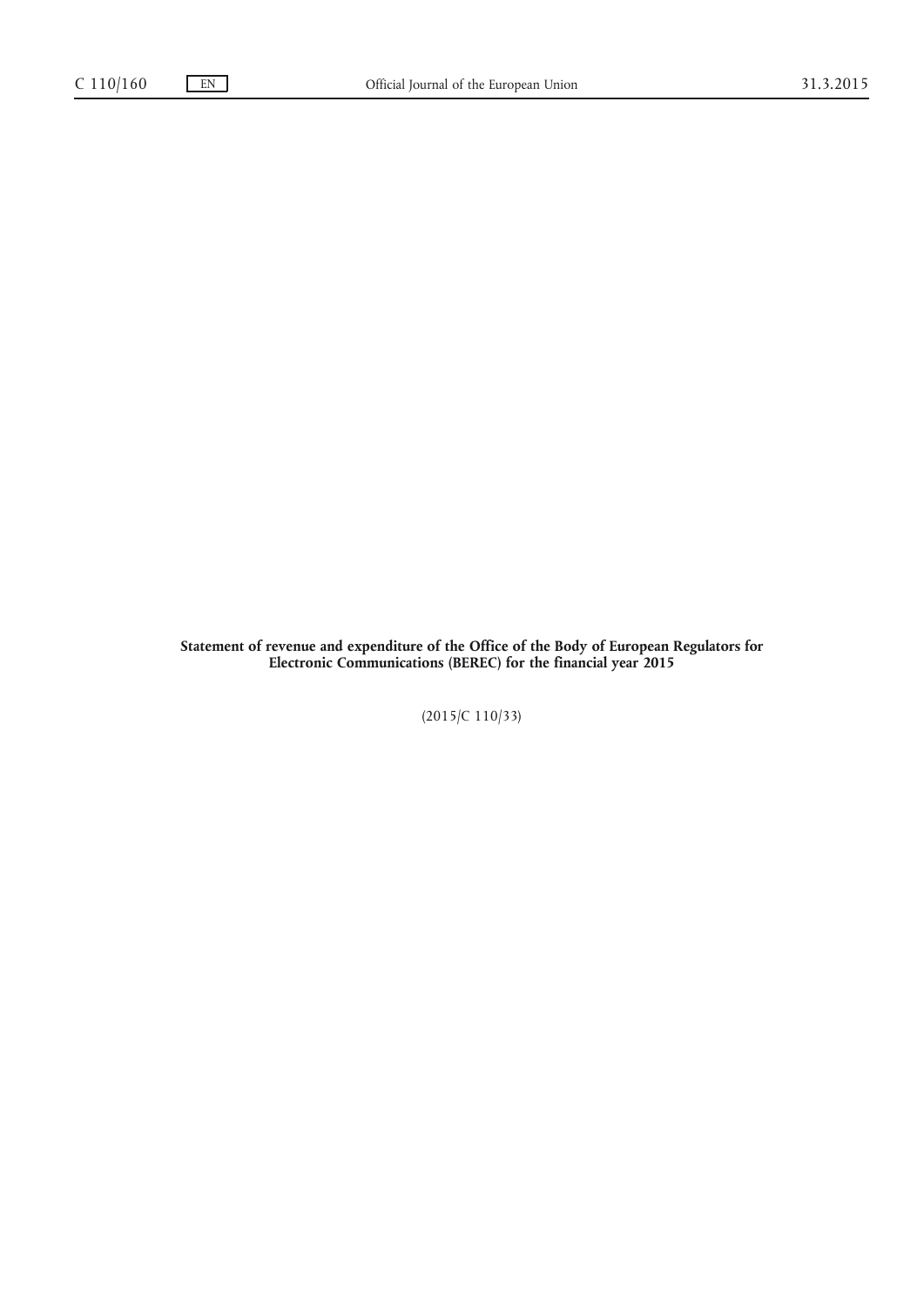**Statement of revenue and expenditure of the Office of the Body of European Regulators for Electronic Communications (BEREC) for the financial year 2015**

(2015/C 110/33)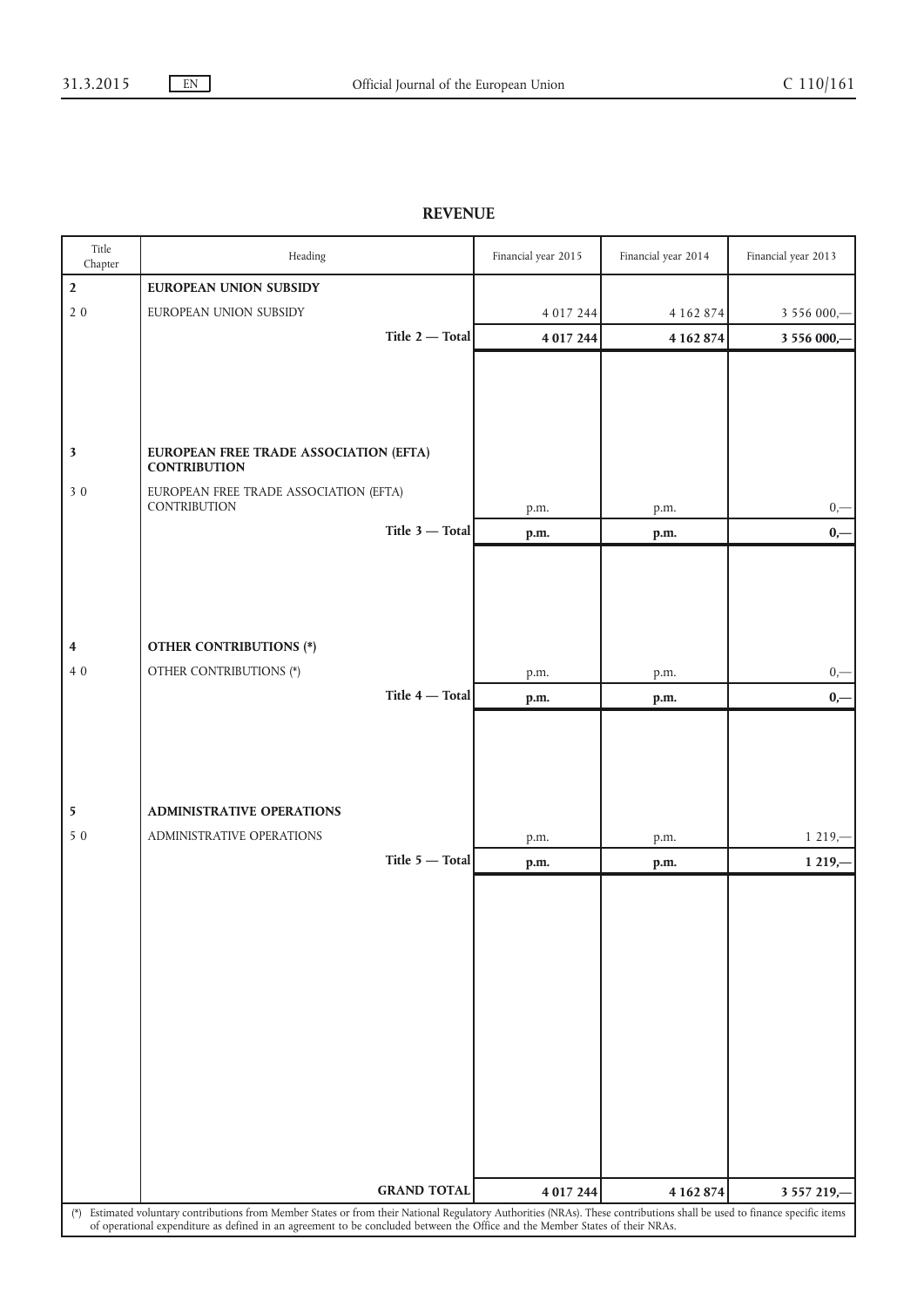## **REVENUE**

| Title<br>Chapter                                                                                                                                                           | Heading                                                                                                                       | Financial year 2015 | Financial year 2014 | Financial year 2013 |  |  |
|----------------------------------------------------------------------------------------------------------------------------------------------------------------------------|-------------------------------------------------------------------------------------------------------------------------------|---------------------|---------------------|---------------------|--|--|
| $\overline{2}$                                                                                                                                                             | <b>EUROPEAN UNION SUBSIDY</b>                                                                                                 |                     |                     |                     |  |  |
| $2\,0$                                                                                                                                                                     | EUROPEAN UNION SUBSIDY                                                                                                        | 4 0 1 7 2 4 4       | 4 1 6 2 8 7 4       | 3 556 000,-         |  |  |
|                                                                                                                                                                            | Title 2 - Total                                                                                                               | 4 0 1 7 2 4 4       | 4 162 874           | 3 556 000,-         |  |  |
|                                                                                                                                                                            |                                                                                                                               |                     |                     |                     |  |  |
|                                                                                                                                                                            |                                                                                                                               |                     |                     |                     |  |  |
|                                                                                                                                                                            |                                                                                                                               |                     |                     |                     |  |  |
|                                                                                                                                                                            |                                                                                                                               |                     |                     |                     |  |  |
| $\overline{\mathbf{3}}$                                                                                                                                                    | EUROPEAN FREE TRADE ASSOCIATION (EFTA)<br><b>CONTRIBUTION</b>                                                                 |                     |                     |                     |  |  |
| 30                                                                                                                                                                         | EUROPEAN FREE TRADE ASSOCIATION (EFTA)                                                                                        |                     |                     |                     |  |  |
|                                                                                                                                                                            | CONTRIBUTION                                                                                                                  | p.m.                | p.m.                | $0, -$              |  |  |
|                                                                                                                                                                            | Title $3$ - Total                                                                                                             | p.m.                | p.m.                | $0,-$               |  |  |
|                                                                                                                                                                            |                                                                                                                               |                     |                     |                     |  |  |
|                                                                                                                                                                            |                                                                                                                               |                     |                     |                     |  |  |
|                                                                                                                                                                            |                                                                                                                               |                     |                     |                     |  |  |
|                                                                                                                                                                            |                                                                                                                               |                     |                     |                     |  |  |
| 4                                                                                                                                                                          | <b>OTHER CONTRIBUTIONS (*)</b>                                                                                                |                     |                     |                     |  |  |
| 40                                                                                                                                                                         | OTHER CONTRIBUTIONS (*)                                                                                                       | p.m.                | p.m.                | $0,\!-\!$           |  |  |
|                                                                                                                                                                            | Title 4 - Total                                                                                                               | p.m.                | p.m.                | $0,-$               |  |  |
|                                                                                                                                                                            |                                                                                                                               |                     |                     |                     |  |  |
|                                                                                                                                                                            |                                                                                                                               |                     |                     |                     |  |  |
|                                                                                                                                                                            |                                                                                                                               |                     |                     |                     |  |  |
| 5                                                                                                                                                                          | ADMINISTRATIVE OPERATIONS                                                                                                     |                     |                     |                     |  |  |
| 5 0                                                                                                                                                                        | ADMINISTRATIVE OPERATIONS                                                                                                     | p.m.                | p.m.                | $1219, -$           |  |  |
|                                                                                                                                                                            | Title 5 - Total                                                                                                               | p.m.                | p.m.                | $1219, -$           |  |  |
|                                                                                                                                                                            |                                                                                                                               |                     |                     |                     |  |  |
|                                                                                                                                                                            |                                                                                                                               |                     |                     |                     |  |  |
|                                                                                                                                                                            |                                                                                                                               |                     |                     |                     |  |  |
|                                                                                                                                                                            |                                                                                                                               |                     |                     |                     |  |  |
|                                                                                                                                                                            |                                                                                                                               |                     |                     |                     |  |  |
|                                                                                                                                                                            |                                                                                                                               |                     |                     |                     |  |  |
|                                                                                                                                                                            |                                                                                                                               |                     |                     |                     |  |  |
|                                                                                                                                                                            |                                                                                                                               |                     |                     |                     |  |  |
|                                                                                                                                                                            |                                                                                                                               |                     |                     |                     |  |  |
|                                                                                                                                                                            |                                                                                                                               |                     |                     |                     |  |  |
|                                                                                                                                                                            |                                                                                                                               |                     |                     |                     |  |  |
|                                                                                                                                                                            |                                                                                                                               |                     |                     |                     |  |  |
|                                                                                                                                                                            | <b>GRAND TOTAL</b>                                                                                                            | 4 017 244           | 4 162 874           | 3 5 5 7 2 19,-      |  |  |
| (*) Estimated voluntary contributions from Member States or from their National Regulatory Authorities (NRAs). These contributions shall be used to finance specific items |                                                                                                                               |                     |                     |                     |  |  |
|                                                                                                                                                                            | of operational expenditure as defined in an agreement to be concluded between the Office and the Member States of their NRAs. |                     |                     |                     |  |  |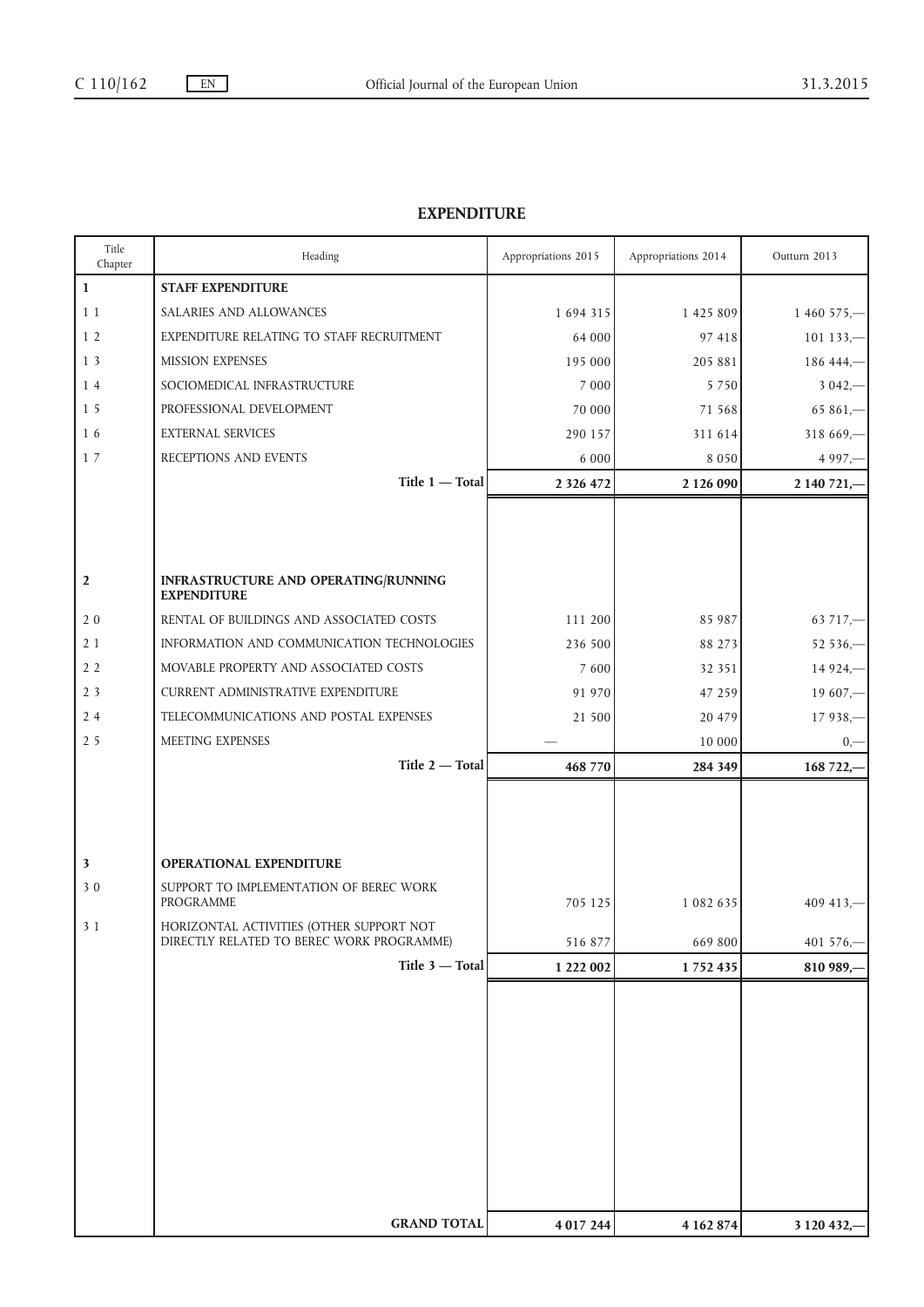## **EXPENDITURE**

| Title<br>Chapter | Heading                                                                               | Appropriations 2015 | Appropriations 2014 | Outturn 2013   |
|------------------|---------------------------------------------------------------------------------------|---------------------|---------------------|----------------|
| $\mathbf{1}$     | <b>STAFF EXPENDITURE</b>                                                              |                     |                     |                |
| 11               | SALARIES AND ALLOWANCES                                                               | 1 694 315           | 1 4 2 5 8 0 9       | $1460575 -$    |
| 1 <sub>2</sub>   | EXPENDITURE RELATING TO STAFF RECRUITMENT                                             | 64 000              | 97 418              | $101133 -$     |
| 13               | <b>MISSION EXPENSES</b>                                                               | 195 000             | 205 881             | $18644 -$      |
| 14               | SOCIOMEDICAL INFRASTRUCTURE                                                           | 7 000               | 5 7 5 0             | $3042 -$       |
| 1 <sub>5</sub>   | PROFESSIONAL DEVELOPMENT                                                              | 70 000              | 71 568              | $65861 -$      |
| 16               | <b>EXTERNAL SERVICES</b>                                                              | 290 157             | 311 614             | $318669 -$     |
| 17               | RECEPTIONS AND EVENTS                                                                 | 6 0 0 0             | 8 0 5 0             | $4997 -$       |
|                  | Title 1 - Total                                                                       | 2 3 2 6 4 7 2       | 2 1 2 6 0 9 0       | 2 140 721,-    |
|                  |                                                                                       |                     |                     |                |
|                  |                                                                                       |                     |                     |                |
|                  |                                                                                       |                     |                     |                |
| $\mathbf{2}$     | INFRASTRUCTURE AND OPERATING/RUNNING<br><b>EXPENDITURE</b>                            |                     |                     |                |
| 20               | RENTAL OF BUILDINGS AND ASSOCIATED COSTS                                              | 111 200             | 85 987              | $63717 -$      |
| 21               | INFORMATION AND COMMUNICATION TECHNOLOGIES                                            | 236 500             | 88 273              | $52536 -$      |
| 2 <sub>2</sub>   | MOVABLE PROPERTY AND ASSOCIATED COSTS                                                 | 7 600               | 32 351              | $14924 -$      |
| 2 <sub>3</sub>   | <b>CURRENT ADMINISTRATIVE EXPENDITURE</b>                                             | 91 970              | 47 259              | $19607 -$      |
| 24               | TELECOMMUNICATIONS AND POSTAL EXPENSES                                                | 21 500              | 20 479              | $17938 -$      |
| 2 5              | MEETING EXPENSES                                                                      |                     | 10 000              | $_{0,-}$       |
|                  | Title 2 - Total                                                                       | 468 770             | 284 349             | 168 722,-      |
|                  |                                                                                       |                     |                     |                |
|                  |                                                                                       |                     |                     |                |
|                  |                                                                                       |                     |                     |                |
| 3                | OPERATIONAL EXPENDITURE                                                               |                     |                     |                |
| 30               | SUPPORT TO IMPLEMENTATION OF BEREC WORK                                               |                     |                     |                |
|                  | <b>PROGRAMME</b>                                                                      | 705 125             | 1 082 635           | $409413 -$     |
| 3 1              | HORIZONTAL ACTIVITIES (OTHER SUPPORT NOT<br>DIRECTLY RELATED TO BEREC WORK PROGRAMME) | 516 877             | 669 800             | 401 576,-      |
|                  | Title 3 - Total                                                                       | 1 222 002           | 1752435             | 810 989,       |
|                  |                                                                                       |                     |                     |                |
|                  |                                                                                       |                     |                     |                |
|                  |                                                                                       |                     |                     |                |
|                  |                                                                                       |                     |                     |                |
|                  |                                                                                       |                     |                     |                |
|                  |                                                                                       |                     |                     |                |
|                  |                                                                                       |                     |                     |                |
|                  |                                                                                       |                     |                     |                |
|                  |                                                                                       |                     |                     |                |
|                  | <b>GRAND TOTAL</b>                                                                    |                     |                     |                |
|                  |                                                                                       | 4 0 1 7 2 4 4       | 4 162 874           | 3 1 20 4 3 2,- |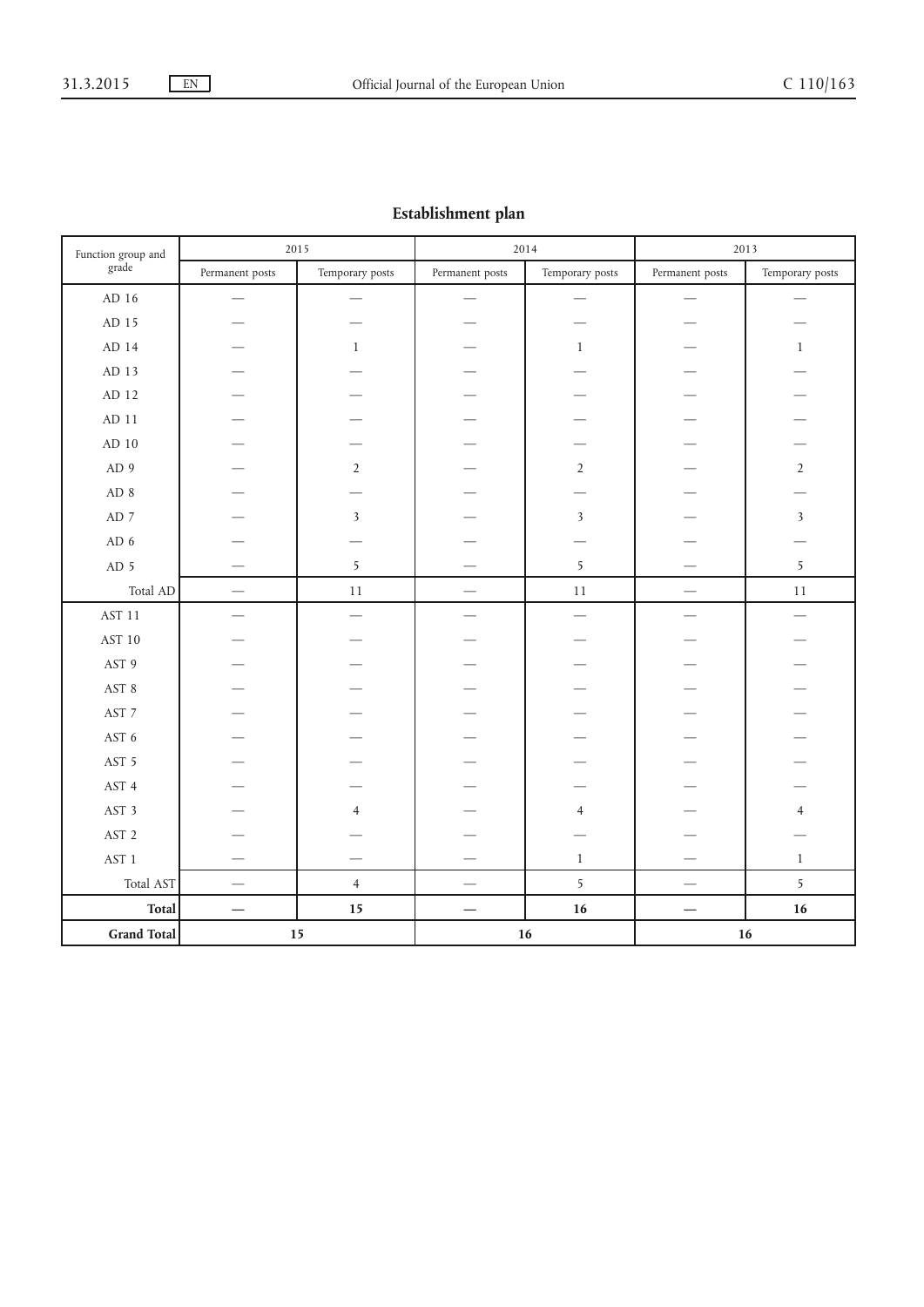## **Establishment plan**

| Function group and      | 2015                     |                 | 2014                     |                          | 2013                                  |                          |
|-------------------------|--------------------------|-----------------|--------------------------|--------------------------|---------------------------------------|--------------------------|
| grade                   | Permanent posts          | Temporary posts | Permanent posts          | Temporary posts          | Permanent posts                       | Temporary posts          |
| AD 16                   |                          |                 |                          |                          |                                       |                          |
| AD 15                   |                          |                 |                          |                          |                                       |                          |
| AD 14                   |                          | $\mathbf{1}$    |                          | $\mathbf{1}$             |                                       | $1\,$                    |
| $\mbox{AD}$ 13          |                          |                 |                          |                          |                                       |                          |
| AD 12                   |                          |                 |                          |                          |                                       |                          |
| $AD$ 11                 |                          |                 |                          |                          |                                       |                          |
| $\mbox{AD}$ $10$        |                          |                 |                          |                          |                                       |                          |
| AD 9                    |                          | $\overline{2}$  |                          | $\overline{2}$           |                                       | $\overline{2}$           |
| AD 8                    |                          |                 |                          |                          |                                       |                          |
| AD $\,$ 7               |                          | $\mathfrak{Z}$  |                          | $\mathfrak{Z}$           |                                       | $\overline{\mathbf{3}}$  |
| AD <sub>6</sub>         |                          |                 |                          |                          |                                       |                          |
| AD <sub>5</sub>         |                          | 5               |                          | 5                        |                                       | $\overline{5}$           |
| Total AD                | $\overline{\phantom{m}}$ | $11\,$          |                          | $11\,$                   | $\overbrace{\qquad \qquad }^{}$       | $11\,$                   |
| $\operatorname{AST}$ 11 | $\overline{\phantom{0}}$ |                 | $\overline{\phantom{0}}$ | $\overline{\phantom{0}}$ |                                       | $\overline{\phantom{0}}$ |
| AST 10                  |                          |                 |                          |                          |                                       |                          |
| AST 9                   |                          |                 |                          |                          |                                       |                          |
| AST 8                   |                          |                 |                          |                          |                                       |                          |
| AST 7                   |                          |                 |                          |                          |                                       |                          |
| AST 6                   |                          |                 |                          |                          |                                       |                          |
| AST 5                   |                          |                 |                          |                          |                                       |                          |
| AST 4                   |                          |                 |                          |                          |                                       |                          |
| AST 3                   |                          | $\overline{4}$  |                          | $\overline{4}$           |                                       | $\overline{4}$           |
| AST <sub>2</sub>        |                          |                 |                          |                          |                                       |                          |
| AST <sub>1</sub>        |                          |                 |                          | $\,1$                    |                                       | $1\,$                    |
| Total AST               | $\overline{\phantom{0}}$ | $\overline{4}$  |                          | 5                        | $\hspace{1.0cm} \rule{1.5cm}{0.15cm}$ | $\overline{5}$           |
| <b>Total</b>            |                          | 15              |                          | 16                       | $\overline{\phantom{0}}$              | 16                       |
| <b>Grand Total</b>      |                          | 15              |                          | $16$                     |                                       | 16                       |